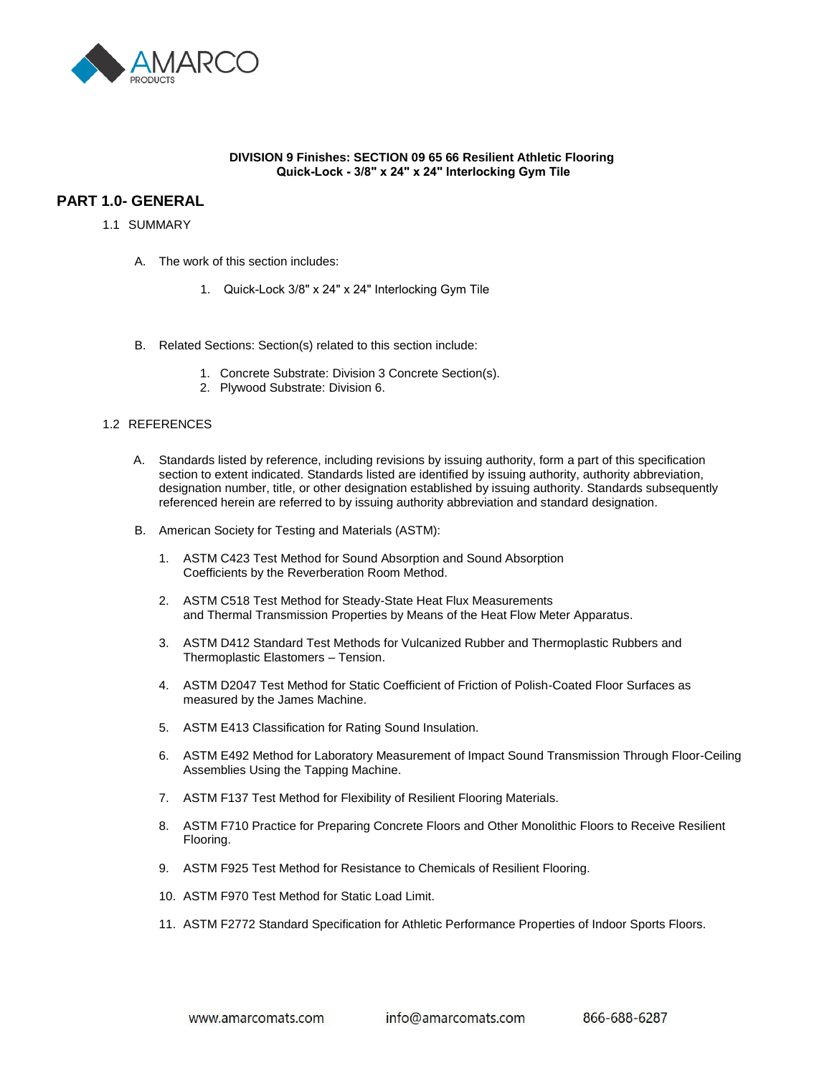

#### **DIVISION 9 Finishes: SECTION 09 65 66 Resilient Athletic Flooring Quick-Lock - 3/8" x 24" x 24" Interlocking Gym Tile**

# **PART 1.0- GENERAL**

#### 1.1 SUMMARY

- A. The work of this section includes:
	- 1. Quick-Lock 3/8" x 24" x 24" Interlocking Gym Tile
- B. Related Sections: Section(s) related to this section include:
	- 1. Concrete Substrate: Division 3 Concrete Section(s).
	- 2. Plywood Substrate: Division 6.

#### 1.2 REFERENCES

- A. Standards listed by reference, including revisions by issuing authority, form a part of this specification section to extent indicated. Standards listed are identified by issuing authority, authority abbreviation, designation number, title, or other designation established by issuing authority. Standards subsequently referenced herein are referred to by issuing authority abbreviation and standard designation.
- B. American Society for Testing and Materials (ASTM):
	- 1. ASTM C423 Test Method for Sound Absorption and Sound Absorption Coefficients by the Reverberation Room Method.
	- 2. ASTM C518 Test Method for Steady-State Heat Flux Measurements and Thermal Transmission Properties by Means of the Heat Flow Meter Apparatus.
	- 3. ASTM D412 Standard Test Methods for Vulcanized Rubber and Thermoplastic Rubbers and Thermoplastic Elastomers – Tension.
	- 4. ASTM D2047 Test Method for Static Coefficient of Friction of Polish-Coated Floor Surfaces as measured by the James Machine.
	- 5. ASTM E413 Classification for Rating Sound Insulation.
	- 6. ASTM E492 Method for Laboratory Measurement of Impact Sound Transmission Through Floor-Ceiling Assemblies Using the Tapping Machine.
	- 7. ASTM F137 Test Method for Flexibility of Resilient Flooring Materials.
	- 8. ASTM F710 Practice for Preparing Concrete Floors and Other Monolithic Floors to Receive Resilient Flooring.
	- 9. ASTM F925 Test Method for Resistance to Chemicals of Resilient Flooring.
	- 10. ASTM F970 Test Method for Static Load Limit.
	- 11. ASTM F2772 Standard Specification for Athletic Performance Properties of Indoor Sports Floors.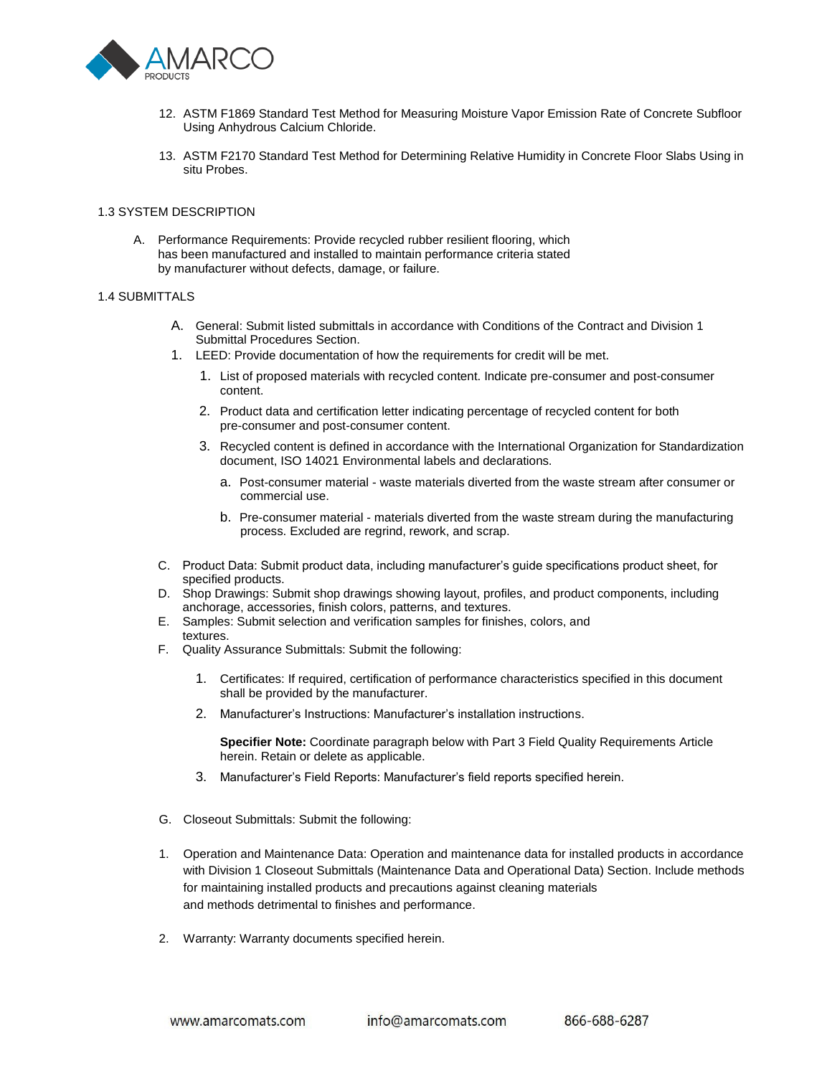

- 12. ASTM F1869 Standard Test Method for Measuring Moisture Vapor Emission Rate of Concrete Subfloor Using Anhydrous Calcium Chloride.
- 13. ASTM F2170 Standard Test Method for Determining Relative Humidity in Concrete Floor Slabs Using in situ Probes.

#### 1.3 SYSTEM DESCRIPTION

A. Performance Requirements: Provide recycled rubber resilient flooring, which has been manufactured and installed to maintain performance criteria stated by manufacturer without defects, damage, or failure.

#### 1.4 SUBMITTALS

- A. General: Submit listed submittals in accordance with Conditions of the Contract and Division 1 Submittal Procedures Section.
- 1. LEED: Provide documentation of how the requirements for credit will be met.
	- 1. List of proposed materials with recycled content. Indicate pre-consumer and post-consumer content.
	- 2. Product data and certification letter indicating percentage of recycled content for both pre-consumer and post-consumer content.
	- 3. Recycled content is defined in accordance with the International Organization for Standardization document, ISO 14021 Environmental labels and declarations.
		- a. Post-consumer material waste materials diverted from the waste stream after consumer or commercial use.
		- b. Pre-consumer material materials diverted from the waste stream during the manufacturing process. Excluded are regrind, rework, and scrap.
- C. Product Data: Submit product data, including manufacturer's guide specifications product sheet, for specified products.
- D. Shop Drawings: Submit shop drawings showing layout, profiles, and product components, including anchorage, accessories, finish colors, patterns, and textures.
- E. Samples: Submit selection and verification samples for finishes, colors, and textures.
- F. Quality Assurance Submittals: Submit the following:
	- 1. Certificates: If required, certification of performance characteristics specified in this document shall be provided by the manufacturer.
	- 2. Manufacturer's Instructions: Manufacturer's installation instructions.

**Specifier Note:** Coordinate paragraph below with Part 3 Field Quality Requirements Article herein. Retain or delete as applicable.

- 3. Manufacturer's Field Reports: Manufacturer's field reports specified herein.
- G. Closeout Submittals: Submit the following:
- 1. Operation and Maintenance Data: Operation and maintenance data for installed products in accordance with Division 1 Closeout Submittals (Maintenance Data and Operational Data) Section. Include methods for maintaining installed products and precautions against cleaning materials and methods detrimental to finishes and performance.
- 2. Warranty: Warranty documents specified herein.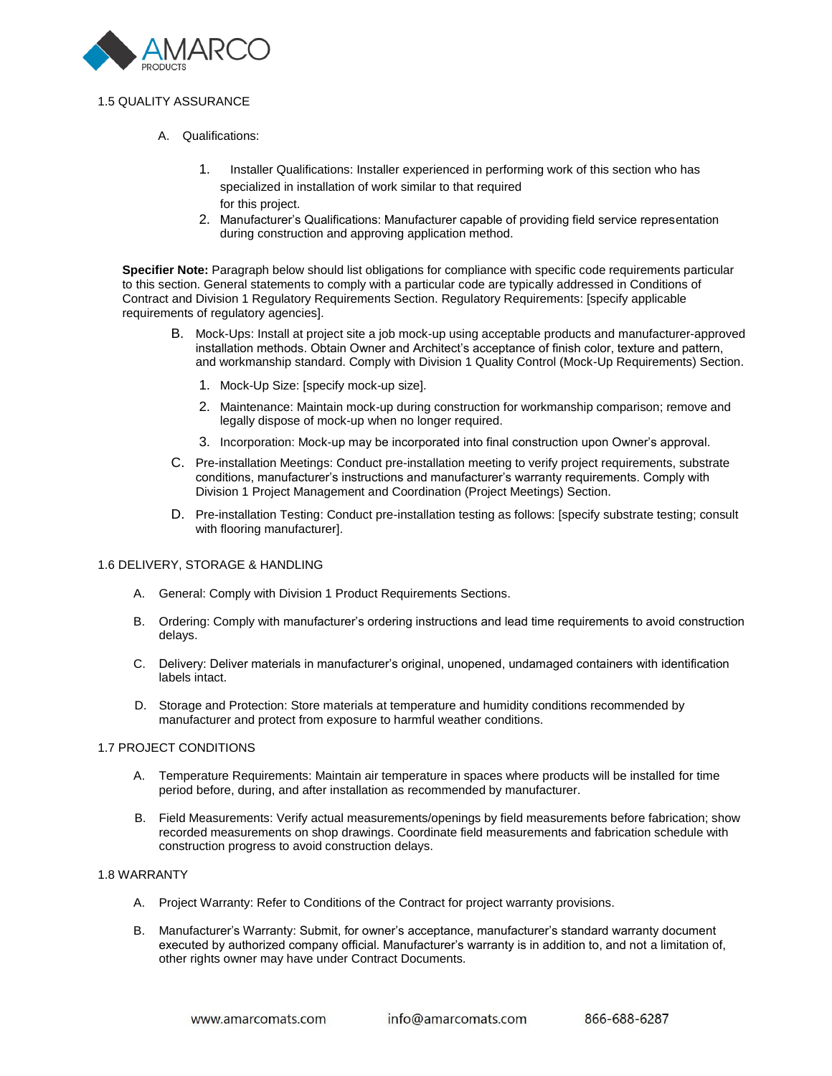

## 1.5 QUALITY ASSURANCE

- A. Qualifications:
	- 1. Installer Qualifications: Installer experienced in performing work of this section who has specialized in installation of work similar to that required for this project.
	- 2. Manufacturer's Qualifications: Manufacturer capable of providing field service representation during construction and approving application method.

**Specifier Note:** Paragraph below should list obligations for compliance with specific code requirements particular to this section. General statements to comply with a particular code are typically addressed in Conditions of Contract and Division 1 Regulatory Requirements Section. Regulatory Requirements: [specify applicable requirements of regulatory agencies].

- B. Mock-Ups: Install at project site a job mock-up using acceptable products and manufacturer-approved installation methods. Obtain Owner and Architect's acceptance of finish color, texture and pattern, and workmanship standard. Comply with Division 1 Quality Control (Mock-Up Requirements) Section.
	- 1. Mock-Up Size: [specify mock-up size].
	- 2. Maintenance: Maintain mock-up during construction for workmanship comparison; remove and legally dispose of mock-up when no longer required.
	- 3. Incorporation: Mock-up may be incorporated into final construction upon Owner's approval.
- C. Pre-installation Meetings: Conduct pre-installation meeting to verify project requirements, substrate conditions, manufacturer's instructions and manufacturer's warranty requirements. Comply with Division 1 Project Management and Coordination (Project Meetings) Section.
- D. Pre-installation Testing: Conduct pre-installation testing as follows: [specify substrate testing; consult with flooring manufacturer].

#### 1.6 DELIVERY, STORAGE & HANDLING

- A. General: Comply with Division 1 Product Requirements Sections.
- B. Ordering: Comply with manufacturer's ordering instructions and lead time requirements to avoid construction delays.
- C. Delivery: Deliver materials in manufacturer's original, unopened, undamaged containers with identification labels intact.
- D. Storage and Protection: Store materials at temperature and humidity conditions recommended by manufacturer and protect from exposure to harmful weather conditions.

## 1.7 PROJECT CONDITIONS

- A. Temperature Requirements: Maintain air temperature in spaces where products will be installed for time period before, during, and after installation as recommended by manufacturer.
- B. Field Measurements: Verify actual measurements/openings by field measurements before fabrication; show recorded measurements on shop drawings. Coordinate field measurements and fabrication schedule with construction progress to avoid construction delays.

#### 1.8 WARRANTY

- A. Project Warranty: Refer to Conditions of the Contract for project warranty provisions.
- B. Manufacturer's Warranty: Submit, for owner's acceptance, manufacturer's standard warranty document executed by authorized company official. Manufacturer's warranty is in addition to, and not a limitation of, other rights owner may have under Contract Documents.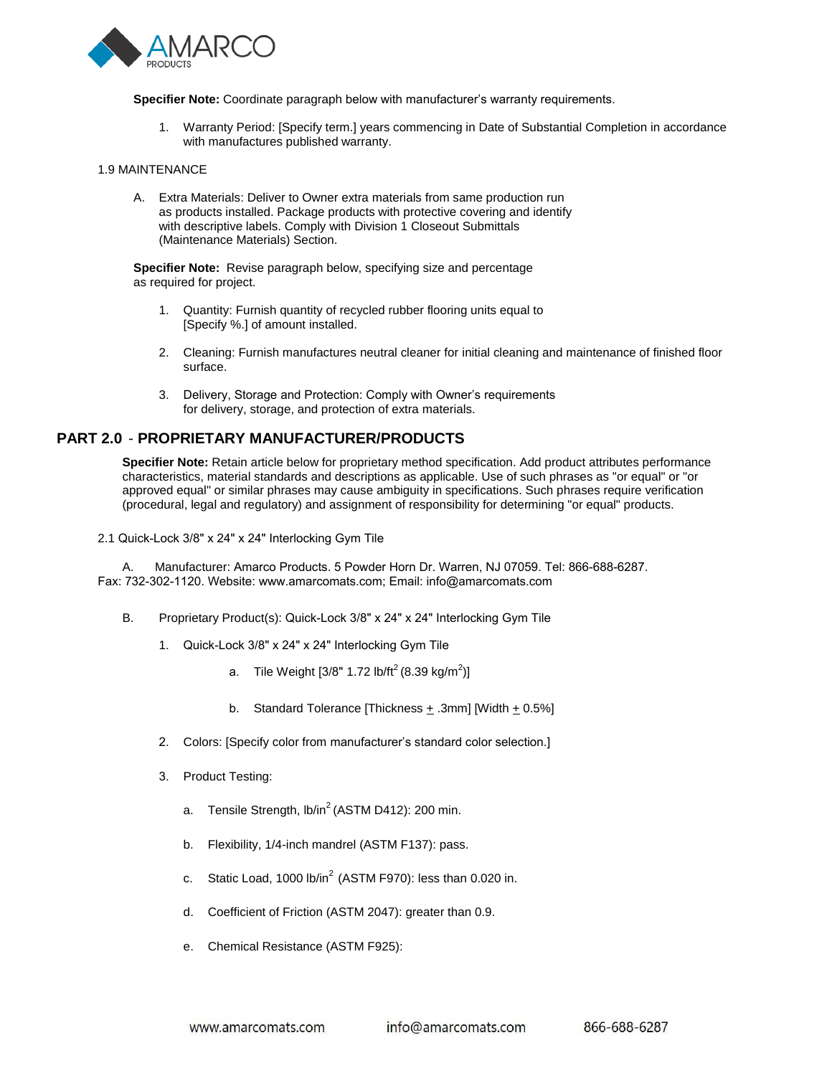

**Specifier Note:** Coordinate paragraph below with manufacturer's warranty requirements.

1. Warranty Period: [Specify term.] years commencing in Date of Substantial Completion in accordance with manufactures published warranty.

#### 1.9 MAINTENANCE

A. Extra Materials: Deliver to Owner extra materials from same production run as products installed. Package products with protective covering and identify with descriptive labels. Comply with Division 1 Closeout Submittals (Maintenance Materials) Section.

**Specifier Note:** Revise paragraph below, specifying size and percentage as required for project.

- 1. Quantity: Furnish quantity of recycled rubber flooring units equal to [Specify %.] of amount installed.
- 2. Cleaning: Furnish manufactures neutral cleaner for initial cleaning and maintenance of finished floor surface.
- 3. Delivery, Storage and Protection: Comply with Owner's requirements for delivery, storage, and protection of extra materials.

# **PART 2.0** - **PROPRIETARY MANUFACTURER/PRODUCTS**

**Specifier Note:** Retain article below for proprietary method specification. Add product attributes performance characteristics, material standards and descriptions as applicable. Use of such phrases as "or equal" or "or approved equal" or similar phrases may cause ambiguity in specifications. Such phrases require verification (procedural, legal and regulatory) and assignment of responsibility for determining "or equal" products.

2.1 Quick-Lock 3/8" x 24" x 24" Interlocking Gym Tile

A. Manufacturer: Amarco Products. 5 Powder Horn Dr. Warren, NJ 07059. Tel: 866-688-6287. Fax: 732-302-1120. Website: www.amarcomats.com; Email: info@amarcomats.com

- B. Proprietary Product(s): Quick-Lock 3/8" x 24" x 24" Interlocking Gym Tile
	- 1. Quick-Lock 3/8" x 24" x 24" Interlocking Gym Tile
		- a. Tile Weight [3/8" 1.72 lb/ft $^2$ (8.39 kg/m $^2$ )]
		- b. Standard Tolerance [Thickness  $\pm$  .3mm] [Width  $\pm$  0.5%]
	- 2. Colors: [Specify color from manufacturer's standard color selection.]
	- 3. Product Testing:
		- a. Tensile Strength,  $Ib/in^2$  (ASTM D412): 200 min.
		- b. Flexibility, 1/4-inch mandrel (ASTM F137): pass.
		- c. Static Load, 1000 lb/in<sup>2</sup> (ASTM F970): less than 0.020 in.
		- d. Coefficient of Friction (ASTM 2047): greater than 0.9.
		- e. Chemical Resistance (ASTM F925):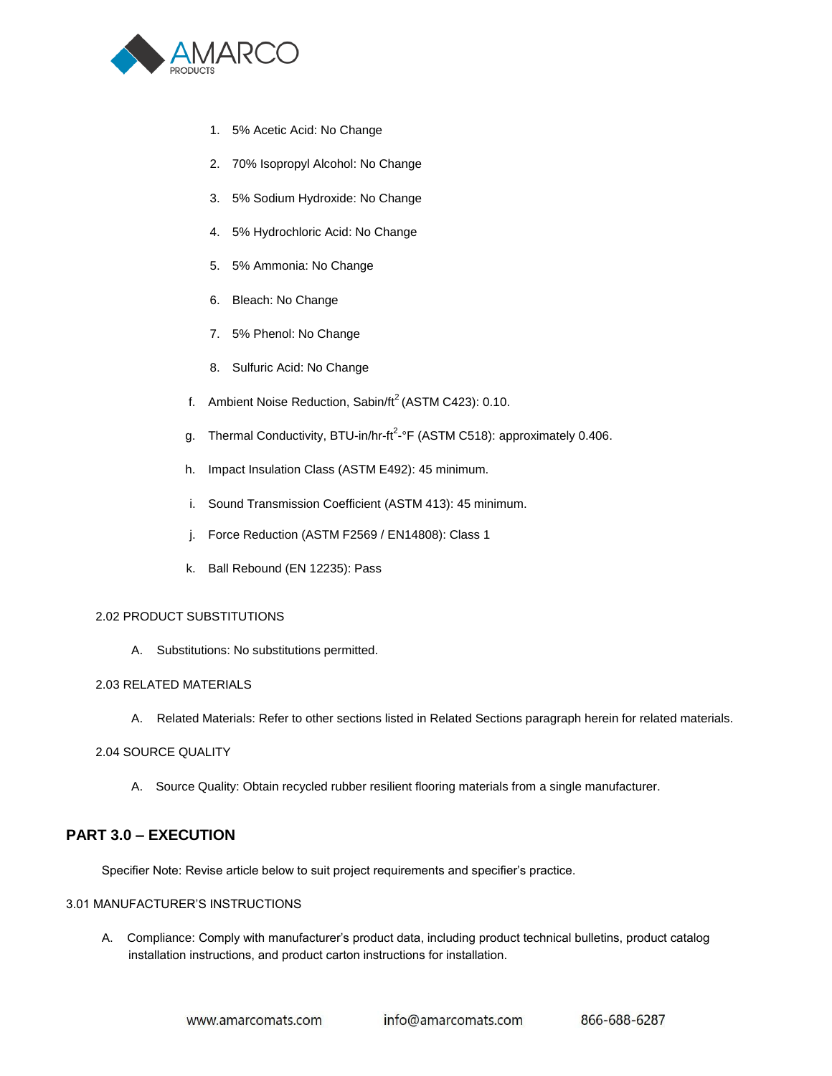

- 1. 5% Acetic Acid: No Change
- 2. 70% Isopropyl Alcohol: No Change
- 3. 5% Sodium Hydroxide: No Change
- 4. 5% Hydrochloric Acid: No Change
- 5. 5% Ammonia: No Change
- 6. Bleach: No Change
- 7. 5% Phenol: No Change
- 8. Sulfuric Acid: No Change
- f. Ambient Noise Reduction, Sabin/ $ft^2$  (ASTM C423): 0.10.
- g. Thermal Conductivity, BTU-in/hr-ft<sup>2</sup>-°F (ASTM C518): approximately 0.406.
- h. Impact Insulation Class (ASTM E492): 45 minimum.
- i. Sound Transmission Coefficient (ASTM 413): 45 minimum.
- j. Force Reduction (ASTM F2569 / EN14808): Class 1
- k. Ball Rebound (EN 12235): Pass

#### 2.02 PRODUCT SUBSTITUTIONS

A. Substitutions: No substitutions permitted.

#### 2.03 RELATED MATERIALS

A. Related Materials: Refer to other sections listed in Related Sections paragraph herein for related materials.

#### 2.04 SOURCE QUALITY

A. Source Quality: Obtain recycled rubber resilient flooring materials from a single manufacturer.

# **PART 3.0 – EXECUTION**

Specifier Note: Revise article below to suit project requirements and specifier's practice.

## 3.01 MANUFACTURER'S INSTRUCTIONS

 A. Compliance: Comply with manufacturer's product data, including product technical bulletins, product catalog installation instructions, and product carton instructions for installation.